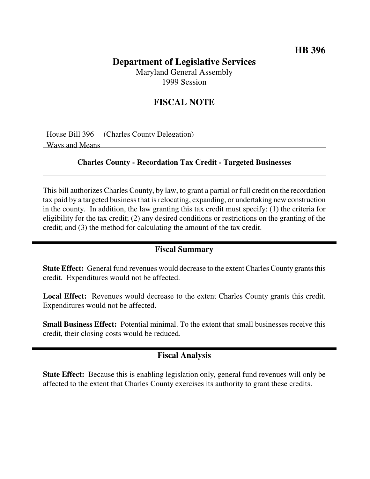## **HB 396**

# **Department of Legislative Services**

Maryland General Assembly 1999 Session

# **FISCAL NOTE**

House Bill 396 (Charles County Delegation) Ways and Means

#### **Charles County - Recordation Tax Credit - Targeted Businesses**

This bill authorizes Charles County, by law, to grant a partial or full credit on the recordation tax paid by a targeted business that is relocating, expanding, or undertaking new construction in the county. In addition, the law granting this tax credit must specify: (1) the criteria for eligibility for the tax credit; (2) any desired conditions or restrictions on the granting of the credit; and (3) the method for calculating the amount of the tax credit.

#### **Fiscal Summary**

**State Effect:** General fund revenues would decrease to the extent Charles County grants this credit. Expenditures would not be affected.

**Local Effect:** Revenues would decrease to the extent Charles County grants this credit. Expenditures would not be affected.

**Small Business Effect:** Potential minimal. To the extent that small businesses receive this credit, their closing costs would be reduced.

### **Fiscal Analysis**

**State Effect:** Because this is enabling legislation only, general fund revenues will only be affected to the extent that Charles County exercises its authority to grant these credits.